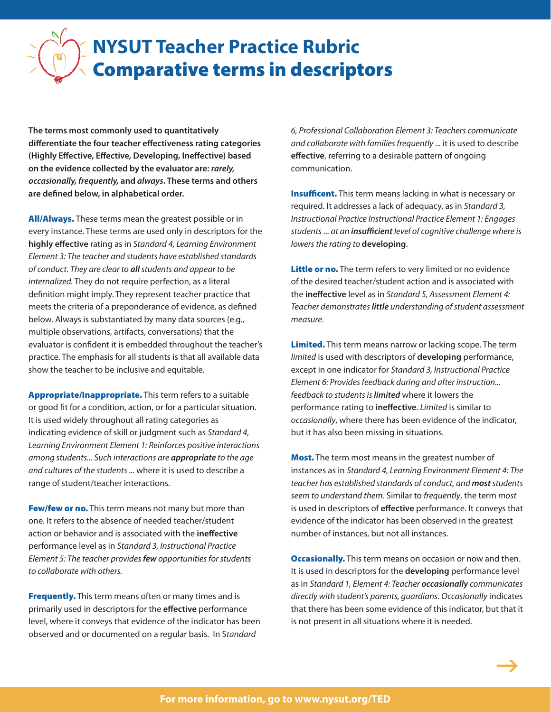## Comparative terms in descriptors **NYSUT Teacher Practice Rubric**

**The terms most commonly used to quantitatively differentiate the four teacher effectiveness rating categories (Highly Effective, Effective, Developing, Ineffective) based on the evidence collected by the evaluator are:** *rarely, occasionally, frequently,* **and** *always***. These terms and others are defined below, in alphabetical order.** 

All/Always. These terms mean the greatest possible or in every instance. These terms are used only in descriptors for the **highly effective** rating as in *Standard 4, Learning Environment Element 3: The teacher and students have established standards of conduct. They are clear to all students and appear to be internalized.* They do not require perfection, as a literal definition might imply. They represent teacher practice that meets the criteria of a preponderance of evidence, as defined below. Always is substantiated by many data sources (e.g., multiple observations, artifacts, conversations) that the evaluator is confident it is embedded throughout the teacher's practice. The emphasis for all students is that all available data show the teacher to be inclusive and equitable.

Appropriate/Inappropriate. This term refers to a suitable or good fit for a condition, action, or for a particular situation. It is used widely throughout all rating categories as indicating evidence of skill or judgment such as *Standard 4, Learning Environment Element 1: Reinforces positive interactions among students... Such interactions are appropriate to the age and cultures of the students* ... where it is used to describe a range of student/teacher interactions.

Few/few or no. This term means not many but more than one. It refers to the absence of needed teacher/student action or behavior and is associated with the **ineffective** performance level as in *Standard 3, Instructional Practice Element 5: The teacher provides few opportunities for students to collaborate with others.*

Frequently. This term means often or many times and is primarily used in descriptors for the **effective** performance level, where it conveys that evidence of the indicator has been observed and or documented on a regular basis. In S*tandard* 

*6, Professional Collaboration Element 3: Teachers communicate and collaborate with families frequently* ... it is used to describe **effective**, referring to a desirable pattern of ongoing communication.

**Insufficent.** This term means lacking in what is necessary or required. It addresses a lack of adequacy, as in *Standard 3, Instructional Practice Instructional Practice Element 1: Engages students* ... *at an insufficient level of cognitive challenge where is lowers the rating to* **developing**.

Little or no. The term refers to very limited or no evidence of the desired teacher/student action and is associated with the **ineffective** level as in *Standard 5, Assessment Element 4: Teacher demonstrates little understanding of student assessment measure*.

Limited. This term means narrow or lacking scope. The term *limited* is used with descriptors of **developing** performance, except in one indicator for *Standard 3, Instructional Practice Element 6: Provides feedback during and after instruction... feedback to students is limited* where it lowers the performance rating to **ineffective**. *Limited* is similar to *occasionally*, where there has been evidence of the indicator, but it has also been missing in situations.

**Most.** The term most means in the greatest number of instances as in *Standard 4, Learning Environment Element 4: The teacher has established standards of conduct, and most students seem to understand them*. Similar to *frequently*, the term *most* is used in descriptors of **effective** performance. It conveys that evidence of the indicator has been observed in the greatest number of instances, but not all instances.

**Occasionally.** This term means on occasion or now and then. It is used in descriptors for the **developing** performance level as in *Standard 1, Element 4: Teacher occasionally communicates directly with student's parents, guardians*. *Occasionally* indicates that there has been some evidence of this indicator, but that it is not present in all situations where it is needed.